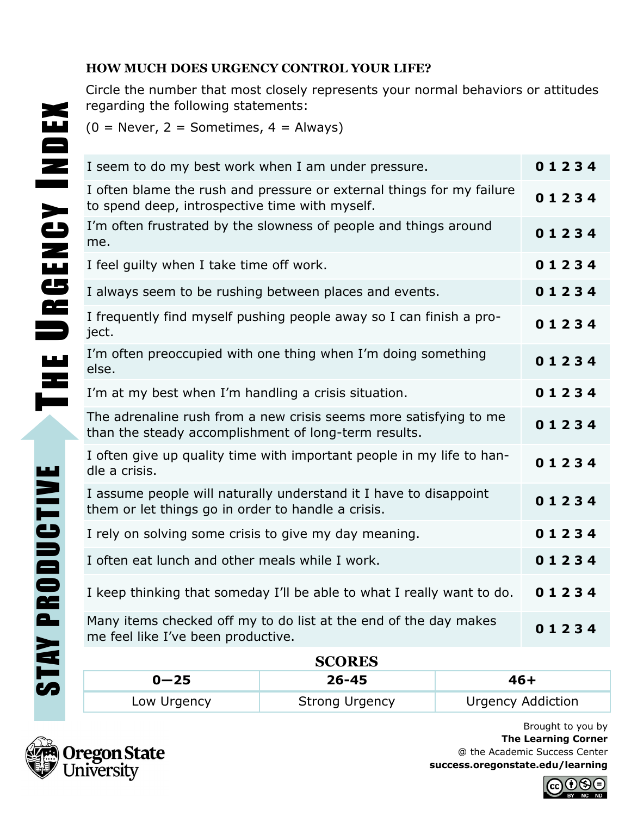## **HOW MUCH DOES URGENCY CONTROL YOUR LIFE?**

Circle the number that most closely represents your normal behaviors or attitudes regarding the following statements:

 $(0 = \text{Never}, 2 = \text{Sometimes}, 4 = \text{Always})$ 

|  | I seem to do my best work when I am under pressure.                                                                       | 01234 |
|--|---------------------------------------------------------------------------------------------------------------------------|-------|
|  | I often blame the rush and pressure or external things for my failure<br>to spend deep, introspective time with myself.   | 01234 |
|  | I'm often frustrated by the slowness of people and things around<br>me.                                                   | 01234 |
|  | I feel guilty when I take time off work.                                                                                  | 01234 |
|  | I always seem to be rushing between places and events.                                                                    | 01234 |
|  | I frequently find myself pushing people away so I can finish a pro-<br>ject.                                              | 01234 |
|  | I'm often preoccupied with one thing when I'm doing something<br>else.                                                    | 01234 |
|  | I'm at my best when I'm handling a crisis situation.                                                                      | 01234 |
|  | The adrenaline rush from a new crisis seems more satisfying to me<br>than the steady accomplishment of long-term results. | 01234 |
|  | I often give up quality time with important people in my life to han-<br>dle a crisis.                                    | 01234 |
|  | I assume people will naturally understand it I have to disappoint<br>them or let things go in order to handle a crisis.   | 01234 |
|  | I rely on solving some crisis to give my day meaning.                                                                     | 01234 |
|  | I often eat lunch and other meals while I work.                                                                           | 01234 |
|  | I keep thinking that someday I'll be able to what I really want to do.                                                    | 01234 |
|  | Many items checked off my to do list at the end of the day makes<br>me feel like I've been productive.                    | 01234 |

| <b>SCORES</b> |                       |                          |  |  |
|---------------|-----------------------|--------------------------|--|--|
| $0 - 25$      | $26 - 45$             | 46+                      |  |  |
| Low Urgency   | <b>Strong Urgency</b> | <b>Urgency Addiction</b> |  |  |



Brought to you by **The Learning Corner** @ the Academic Success Center **success.oregonstate.edu/learning**